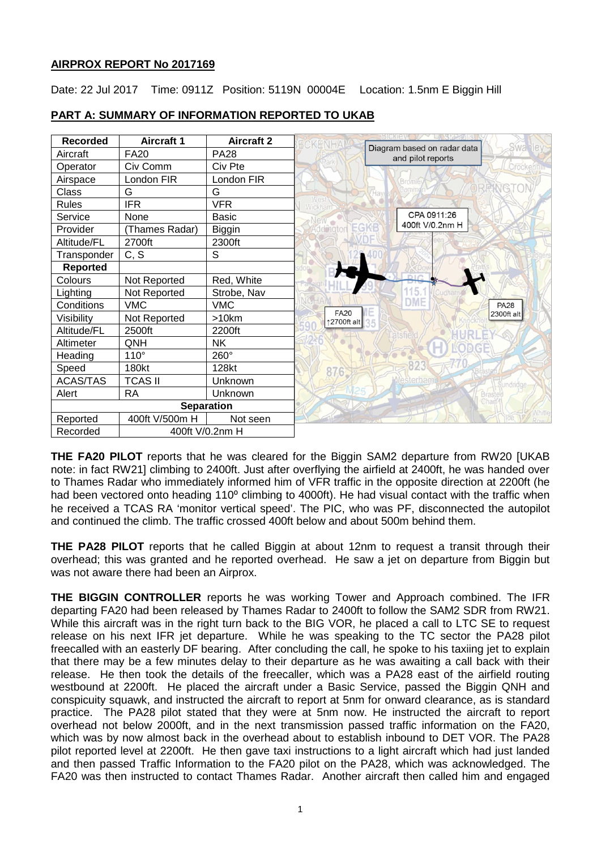## **AIRPROX REPORT No 2017169**

Date: 22 Jul 2017 Time: 0911Z Position: 5119N 00004E Location: 1.5nm E Biggin Hill



# **PART A: SUMMARY OF INFORMATION REPORTED TO UKAB**

**THE FA20 PILOT** reports that he was cleared for the Biggin SAM2 departure from RW20 [UKAB note: in fact RW21] climbing to 2400ft. Just after overflying the airfield at 2400ft, he was handed over to Thames Radar who immediately informed him of VFR traffic in the opposite direction at 2200ft (he had been vectored onto heading 110<sup>°</sup> climbing to 4000ft). He had visual contact with the traffic when he received a TCAS RA 'monitor vertical speed'. The PIC, who was PF, disconnected the autopilot and continued the climb. The traffic crossed 400ft below and about 500m behind them.

**THE PA28 PILOT** reports that he called Biggin at about 12nm to request a transit through their overhead; this was granted and he reported overhead. He saw a jet on departure from Biggin but was not aware there had been an Airprox.

**THE BIGGIN CONTROLLER** reports he was working Tower and Approach combined. The IFR departing FA20 had been released by Thames Radar to 2400ft to follow the SAM2 SDR from RW21. While this aircraft was in the right turn back to the BIG VOR, he placed a call to LTC SE to request release on his next IFR jet departure. While he was speaking to the TC sector the PA28 pilot freecalled with an easterly DF bearing. After concluding the call, he spoke to his taxiing jet to explain that there may be a few minutes delay to their departure as he was awaiting a call back with their release. He then took the details of the freecaller, which was a PA28 east of the airfield routing westbound at 2200ft. He placed the aircraft under a Basic Service, passed the Biggin QNH and conspicuity squawk, and instructed the aircraft to report at 5nm for onward clearance, as is standard practice. The PA28 pilot stated that they were at 5nm now. He instructed the aircraft to report overhead not below 2000ft, and in the next transmission passed traffic information on the FA20, which was by now almost back in the overhead about to establish inbound to DET VOR. The PA28 pilot reported level at 2200ft. He then gave taxi instructions to a light aircraft which had just landed and then passed Traffic Information to the FA20 pilot on the PA28, which was acknowledged. The FA20 was then instructed to contact Thames Radar. Another aircraft then called him and engaged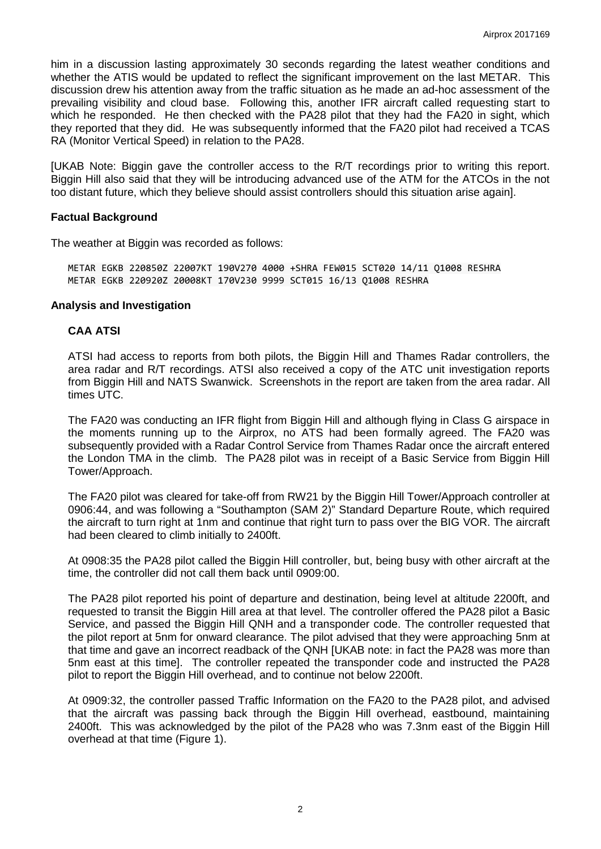him in a discussion lasting approximately 30 seconds regarding the latest weather conditions and whether the ATIS would be updated to reflect the significant improvement on the last METAR. This discussion drew his attention away from the traffic situation as he made an ad-hoc assessment of the prevailing visibility and cloud base. Following this, another IFR aircraft called requesting start to which he responded. He then checked with the PA28 pilot that they had the FA20 in sight, which they reported that they did. He was subsequently informed that the FA20 pilot had received a TCAS RA (Monitor Vertical Speed) in relation to the PA28.

[UKAB Note: Biggin gave the controller access to the R/T recordings prior to writing this report. Biggin Hill also said that they will be introducing advanced use of the ATM for the ATCOs in the not too distant future, which they believe should assist controllers should this situation arise again].

### **Factual Background**

The weather at Biggin was recorded as follows:

METAR EGKB 220850Z 22007KT 190V270 4000 +SHRA FEW015 SCT020 14/11 Q1008 RESHRA METAR EGKB 220920Z 20008KT 170V230 9999 SCT015 16/13 Q1008 RESHRA

### **Analysis and Investigation**

### **CAA ATSI**

ATSI had access to reports from both pilots, the Biggin Hill and Thames Radar controllers, the area radar and R/T recordings. ATSI also received a copy of the ATC unit investigation reports from Biggin Hill and NATS Swanwick. Screenshots in the report are taken from the area radar. All times UTC.

The FA20 was conducting an IFR flight from Biggin Hill and although flying in Class G airspace in the moments running up to the Airprox, no ATS had been formally agreed. The FA20 was subsequently provided with a Radar Control Service from Thames Radar once the aircraft entered the London TMA in the climb. The PA28 pilot was in receipt of a Basic Service from Biggin Hill Tower/Approach.

The FA20 pilot was cleared for take-off from RW21 by the Biggin Hill Tower/Approach controller at 0906:44, and was following a "Southampton (SAM 2)" Standard Departure Route, which required the aircraft to turn right at 1nm and continue that right turn to pass over the BIG VOR. The aircraft had been cleared to climb initially to 2400ft.

At 0908:35 the PA28 pilot called the Biggin Hill controller, but, being busy with other aircraft at the time, the controller did not call them back until 0909:00.

The PA28 pilot reported his point of departure and destination, being level at altitude 2200ft, and requested to transit the Biggin Hill area at that level. The controller offered the PA28 pilot a Basic Service, and passed the Biggin Hill QNH and a transponder code. The controller requested that the pilot report at 5nm for onward clearance. The pilot advised that they were approaching 5nm at that time and gave an incorrect readback of the QNH [UKAB note: in fact the PA28 was more than 5nm east at this time]. The controller repeated the transponder code and instructed the PA28 pilot to report the Biggin Hill overhead, and to continue not below 2200ft.

At 0909:32, the controller passed Traffic Information on the FA20 to the PA28 pilot, and advised that the aircraft was passing back through the Biggin Hill overhead, eastbound, maintaining 2400ft. This was acknowledged by the pilot of the PA28 who was 7.3nm east of the Biggin Hill overhead at that time (Figure 1).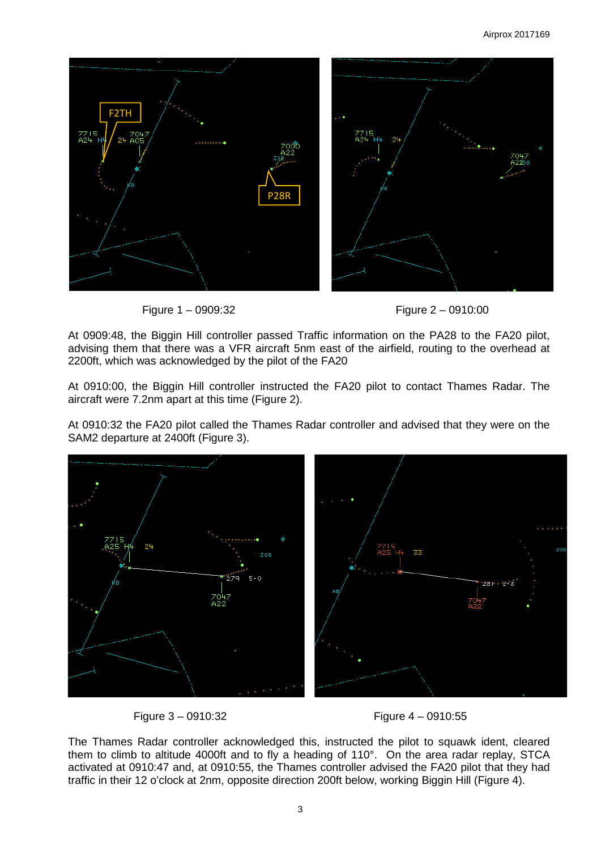

Figure 1 – 0909:32 Figure 2 – 0910:00



At 0909:48, the Biggin Hill controller passed Traffic information on the PA28 to the FA20 pilot, advising them that there was a VFR aircraft 5nm east of the airfield, routing to the overhead at 2200ft, which was acknowledged by the pilot of the FA20

At 0910:00, the Biggin Hill controller instructed the FA20 pilot to contact Thames Radar. The aircraft were 7.2nm apart at this time (Figure 2).

At 0910:32 the FA20 pilot called the Thames Radar controller and advised that they were on the SAM2 departure at 2400ft (Figure 3).



Figure 3 – 0910:32 Figure 4 – 0910:55

The Thames Radar controller acknowledged this, instructed the pilot to squawk ident, cleared them to climb to altitude 4000ft and to fly a heading of 110°. On the area radar replay, STCA activated at 0910:47 and, at 0910:55, the Thames controller advised the FA20 pilot that they had traffic in their 12 o'clock at 2nm, opposite direction 200ft below, working Biggin Hill (Figure 4).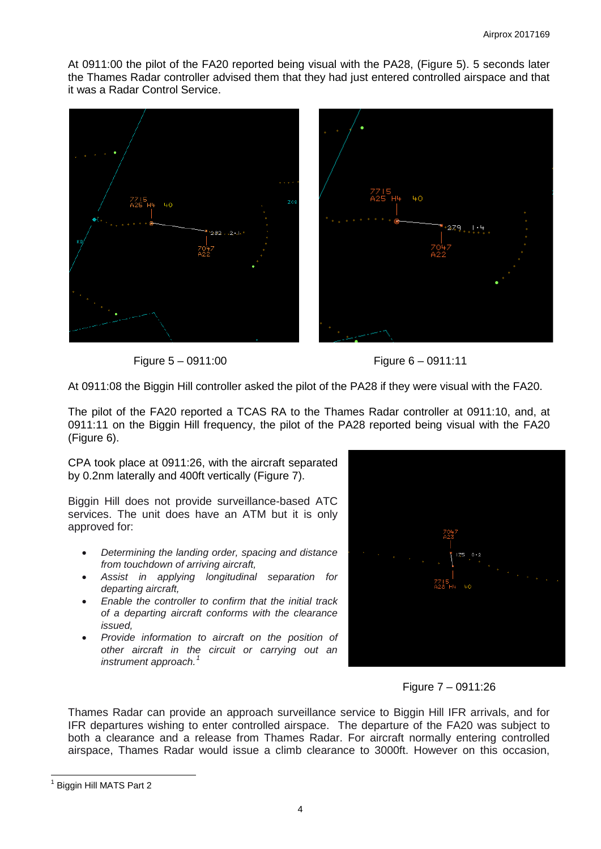At 0911:00 the pilot of the FA20 reported being visual with the PA28, (Figure 5). 5 seconds later the Thames Radar controller advised them that they had just entered controlled airspace and that it was a Radar Control Service.



Figure 5 – 0911:00 Figure 6 – 0911:11

At 0911:08 the Biggin Hill controller asked the pilot of the PA28 if they were visual with the FA20.

The pilot of the FA20 reported a TCAS RA to the Thames Radar controller at 0911:10, and, at 0911:11 on the Biggin Hill frequency, the pilot of the PA28 reported being visual with the FA20 (Figure 6).

CPA took place at 0911:26, with the aircraft separated by 0.2nm laterally and 400ft vertically (Figure 7).

Biggin Hill does not provide surveillance-based ATC services. The unit does have an ATM but it is only approved for:

- *Determining the landing order, spacing and distance from touchdown of arriving aircraft,*
- *Assist in applying longitudinal separation for departing aircraft,*
- *Enable the controller to confirm that the initial track of a departing aircraft conforms with the clearance issued,*
- *Provide information to aircraft on the position of other aircraft in the circuit or carrying out an instrument approach.*<sup>[1](#page-3-0)</sup>



Figure 7 – 0911:26

Thames Radar can provide an approach surveillance service to Biggin Hill IFR arrivals, and for IFR departures wishing to enter controlled airspace. The departure of the FA20 was subject to both a clearance and a release from Thames Radar. For aircraft normally entering controlled airspace, Thames Radar would issue a climb clearance to 3000ft. However on this occasion,

<span id="page-3-0"></span>Biggin Hill MATS Part 2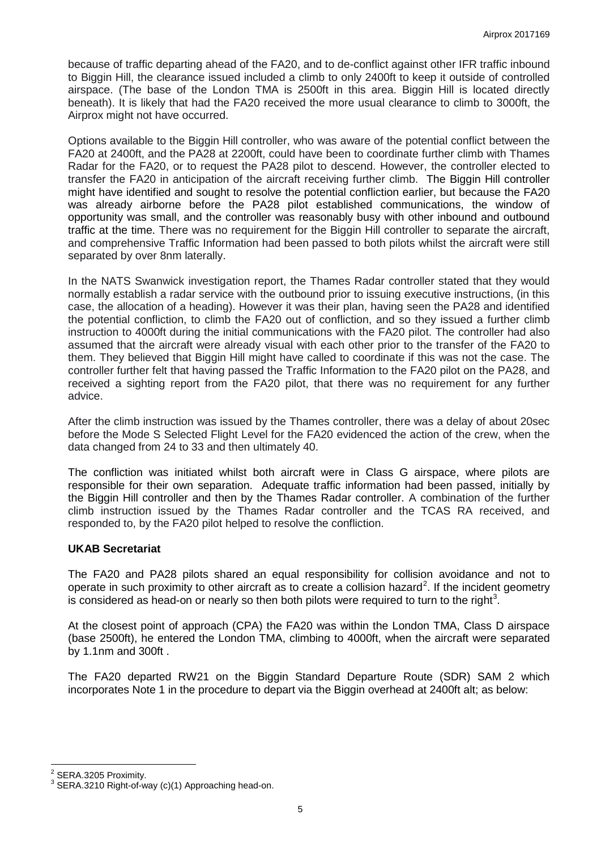because of traffic departing ahead of the FA20, and to de-conflict against other IFR traffic inbound to Biggin Hill, the clearance issued included a climb to only 2400ft to keep it outside of controlled airspace. (The base of the London TMA is 2500ft in this area. Biggin Hill is located directly beneath). It is likely that had the FA20 received the more usual clearance to climb to 3000ft, the Airprox might not have occurred.

Options available to the Biggin Hill controller, who was aware of the potential conflict between the FA20 at 2400ft, and the PA28 at 2200ft, could have been to coordinate further climb with Thames Radar for the FA20, or to request the PA28 pilot to descend. However, the controller elected to transfer the FA20 in anticipation of the aircraft receiving further climb. The Biggin Hill controller might have identified and sought to resolve the potential confliction earlier, but because the FA20 was already airborne before the PA28 pilot established communications, the window of opportunity was small, and the controller was reasonably busy with other inbound and outbound traffic at the time. There was no requirement for the Biggin Hill controller to separate the aircraft, and comprehensive Traffic Information had been passed to both pilots whilst the aircraft were still separated by over 8nm laterally.

In the NATS Swanwick investigation report, the Thames Radar controller stated that they would normally establish a radar service with the outbound prior to issuing executive instructions, (in this case, the allocation of a heading). However it was their plan, having seen the PA28 and identified the potential confliction, to climb the FA20 out of confliction, and so they issued a further climb instruction to 4000ft during the initial communications with the FA20 pilot. The controller had also assumed that the aircraft were already visual with each other prior to the transfer of the FA20 to them. They believed that Biggin Hill might have called to coordinate if this was not the case. The controller further felt that having passed the Traffic Information to the FA20 pilot on the PA28, and received a sighting report from the FA20 pilot, that there was no requirement for any further advice.

After the climb instruction was issued by the Thames controller, there was a delay of about 20sec before the Mode S Selected Flight Level for the FA20 evidenced the action of the crew, when the data changed from 24 to 33 and then ultimately 40.

The confliction was initiated whilst both aircraft were in Class G airspace, where pilots are responsible for their own separation. Adequate traffic information had been passed, initially by the Biggin Hill controller and then by the Thames Radar controller. A combination of the further climb instruction issued by the Thames Radar controller and the TCAS RA received, and responded to, by the FA20 pilot helped to resolve the confliction.

## **UKAB Secretariat**

The FA20 and PA28 pilots shared an equal responsibility for collision avoidance and not to operate in such proximity to other aircraft as to create a collision hazard<sup>[2](#page-4-0)</sup>. If the incident geometry is considered as head-on or nearly so then both pilots were required to turn to the right<sup>[3](#page-4-1)</sup>.

At the closest point of approach (CPA) the FA20 was within the London TMA, Class D airspace (base 2500ft), he entered the London TMA, climbing to 4000ft, when the aircraft were separated by 1.1nm and 300ft .

The FA20 departed RW21 on the Biggin Standard Departure Route (SDR) SAM 2 which incorporates Note 1 in the procedure to depart via the Biggin overhead at 2400ft alt; as below:

<span id="page-4-1"></span>

<span id="page-4-0"></span><sup>&</sup>lt;sup>2</sup> SERA.3205 Proximity.<br><sup>3</sup> SERA.3210 Right-of-way (c)(1) Approaching head-on.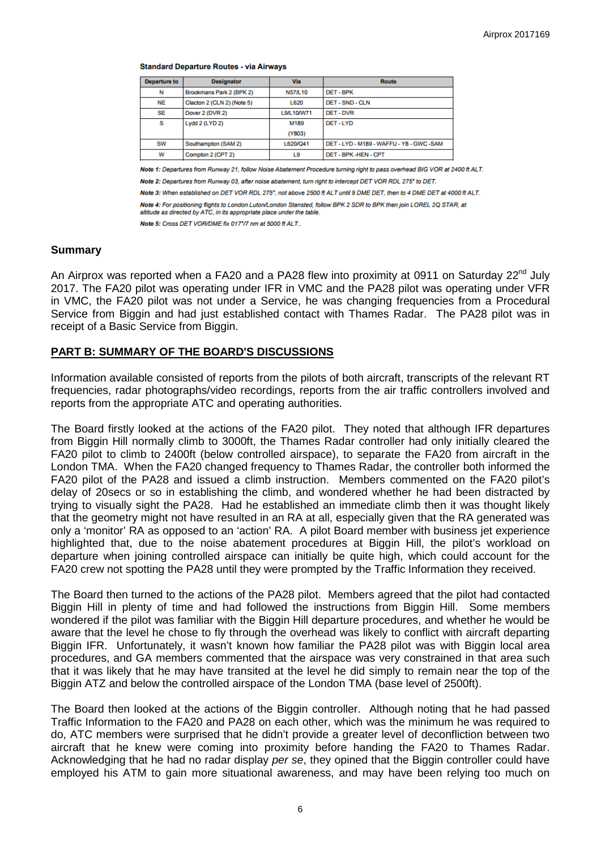#### **Standard Departure Routes - via Airways**

| <b>Departure to</b> | <b>Designator</b>          | Via            | <b>Route</b>                             |
|---------------------|----------------------------|----------------|------------------------------------------|
| N                   | Brookmans Park 2 (BPK 2)   | <b>N57/L10</b> | DET-BPK                                  |
| NE                  | Clacton 2 (CLN 2) (Note 5) | L620           | DET-SND-CLN                              |
| SE                  | Dover 2 (DVR 2)            | L9/L10/W71     | DET-DVR                                  |
| s                   | Lydd 2 (LYD 2)             | M189           | DET-LYD                                  |
|                     |                            | (Y803)         |                                          |
| <b>SW</b>           | Southampton (SAM 2)        | L620/Q41       | DET - LYD - M189 - WAFFU - Y8 - GWC -SAM |
| w                   | Compton 2 (CPT 2)          | L9             | DET - BPK -HEN - CPT                     |

Note 1: Departures from Runway 21, follow Noise Abatement Procedure turning right to pass overhead BIG VOR at 2400 ft ALT. Note 2: Departures from Runway 03, after noise abatement, turn right to intercept DET VOR RDL 275° to DET.

Note 3: When established on DET VOR RDL 275°, not above 2500 ft ALT until 9 DME DET, then to 4 DME DET at 4000 ft ALT.

Note 4: For positioning flights to London Luton/London Stansted, follow BPK 2 SDR to BPK then join LOREL 2Q STAR, at

altitude as directed by ATC, in its appropriate place under the table.

Note 5: Cross DET VOR/DME fix 017°/7 nm at 5000 ft ALT..

## **Summary**

An Airprox was reported when a FA20 and a PA28 flew into proximity at 0911 on Saturday 22<sup>nd</sup> July 2017. The FA20 pilot was operating under IFR in VMC and the PA28 pilot was operating under VFR in VMC, the FA20 pilot was not under a Service, he was changing frequencies from a Procedural Service from Biggin and had just established contact with Thames Radar. The PA28 pilot was in receipt of a Basic Service from Biggin.

## **PART B: SUMMARY OF THE BOARD'S DISCUSSIONS**

Information available consisted of reports from the pilots of both aircraft, transcripts of the relevant RT frequencies, radar photographs/video recordings, reports from the air traffic controllers involved and reports from the appropriate ATC and operating authorities.

The Board firstly looked at the actions of the FA20 pilot. They noted that although IFR departures from Biggin Hill normally climb to 3000ft, the Thames Radar controller had only initially cleared the FA20 pilot to climb to 2400ft (below controlled airspace), to separate the FA20 from aircraft in the London TMA. When the FA20 changed frequency to Thames Radar, the controller both informed the FA20 pilot of the PA28 and issued a climb instruction. Members commented on the FA20 pilot's delay of 20secs or so in establishing the climb, and wondered whether he had been distracted by trying to visually sight the PA28. Had he established an immediate climb then it was thought likely that the geometry might not have resulted in an RA at all, especially given that the RA generated was only a 'monitor' RA as opposed to an 'action' RA. A pilot Board member with business jet experience highlighted that, due to the noise abatement procedures at Biggin Hill, the pilot's workload on departure when joining controlled airspace can initially be quite high, which could account for the FA20 crew not spotting the PA28 until they were prompted by the Traffic Information they received.

The Board then turned to the actions of the PA28 pilot. Members agreed that the pilot had contacted Biggin Hill in plenty of time and had followed the instructions from Biggin Hill. Some members wondered if the pilot was familiar with the Biggin Hill departure procedures, and whether he would be aware that the level he chose to fly through the overhead was likely to conflict with aircraft departing Biggin IFR. Unfortunately, it wasn't known how familiar the PA28 pilot was with Biggin local area procedures, and GA members commented that the airspace was very constrained in that area such that it was likely that he may have transited at the level he did simply to remain near the top of the Biggin ATZ and below the controlled airspace of the London TMA (base level of 2500ft).

The Board then looked at the actions of the Biggin controller. Although noting that he had passed Traffic Information to the FA20 and PA28 on each other, which was the minimum he was required to do, ATC members were surprised that he didn't provide a greater level of deconfliction between two aircraft that he knew were coming into proximity before handing the FA20 to Thames Radar. Acknowledging that he had no radar display *per se*, they opined that the Biggin controller could have employed his ATM to gain more situational awareness, and may have been relying too much on